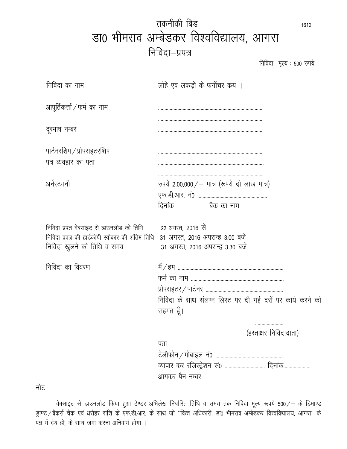| तकनीकी बिड                              | 1612 |
|-----------------------------------------|------|
| डा0 भीमराव अम्बेडकर विश्वविद्यालय, आगरा |      |
| निविदा—प्रपत्र                          |      |

निविदा मूल्य: 500 रुपये

| निविदा का नाम                                                                                                                 | लोहे एवं लकड़ी के फर्नीचर कय ।                                                          |
|-------------------------------------------------------------------------------------------------------------------------------|-----------------------------------------------------------------------------------------|
| आपूर्तिकर्त्ता / फर्म का नाम                                                                                                  |                                                                                         |
| दूरभाष नम्बर                                                                                                                  |                                                                                         |
| पार्टनरशिप / प्रोपराइटरशिप<br>पत्र व्यवहार का पता                                                                             |                                                                                         |
| अर्नेस्टमनी                                                                                                                   | रुपये 2,00,000/ – मात्र (रूपये दो लाख मात्र)                                            |
| निविदा प्रपत्र वेबसाइट से डाउनलोड की तिथि<br>निविदा प्रपत्र की हार्डकॉपी स्वीकार की अंतिम तिथि<br>निविदा खुलने की तिथि व समय– | 22 अगस्त, 2016 से<br>31 अगस्त, 2016 अपरान्ह 3.00 बजे<br>31 अगस्त, 2016 अपरान्ह 3.30 बजे |
| निविदा का विवरण                                                                                                               | निविदा के साथ संलग्न लिस्ट पर दी गई दरों पर कार्य करने को<br>सहमत हूँ।                  |
|                                                                                                                               | <br>(हस्ताक्षर निविदादाता)<br>व्यापार कर रजिस्ट्रेशन सं0  दिनांक<br>आयकर पैन नम्बर      |
| नोट—                                                                                                                          |                                                                                         |

वेबसाइट से डाउनलोड किया हुआ टेण्डर अभिलेख निर्धारित तिथि व समय तक निविदा मूल्य रूपये 500/– के डिमाण्ड ड्राफ्ट / बैंकर्स चैक एवं धरोहर राशि के एफ.डी.आर. के साथ जो ''वित्त अधिकारी, डा0 भीमराव अम्बेडकर विश्वविद्यालय, आगरा'' के पक्ष में देय हो, के साथ जमा करना अनिवार्य होगा ।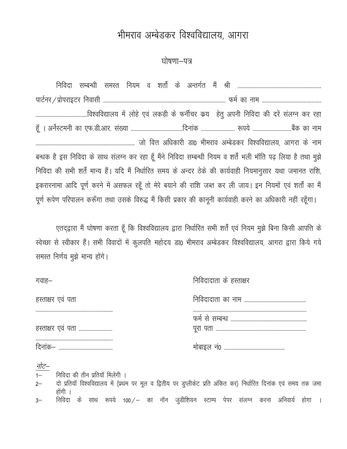## भीमराव अम्बेडकर विश्वविद्यालय, आगरा

#### घोषणा–पत्र

| बन्धक है इस निविदा के साथ संलग्न कर रहा हूँ मैंने निविदा सम्बन्धी नियम व शर्तें भली भॉति पढ़ लिया है तथा मुझे |  |  |  |
|---------------------------------------------------------------------------------------------------------------|--|--|--|
| निविदा की सभी शर्तें मान्य हैं। यदि मैं निर्धारित समय के अन्दर ठेके की कार्यवाही नियमानुसार यथा जमानत राशि,   |  |  |  |
| इकरारनामा आदि पूर्ण करने में असफल रहूँ तो मेरे बयाने की राशि जब्त कर ली जाय। इन नियमों एवं शर्तों का मैं      |  |  |  |
| पूर्ण रूपेण परिपालन करूँगा तथा उसके विरुद्ध मैं किसी प्रकार की कानूनी कार्यवाही करने का अधिकारी नहीं रहूँगा।  |  |  |  |

एतद्द्वारा मैं घोषणा करता हूँ कि विश्वविद्यालय द्वारा निर्धारित सभी शर्तें एवं नियम मुझे बिना किसी आपत्ति के स्वेच्छा से स्वीकार हैं। सभी विवादों में कुलपति महोदय डा0 भीमराव अम्बेडकर विश्वविद्यालय, आगरा द्वारा किये गये समस्त निर्णय मुझे मान्य होंगे।

| गवाह—             | निविदादाता के हस्ताक्षर |
|-------------------|-------------------------|
| हस्ताक्षर एवं पता |                         |
| हस्ताक्षर एवं पता |                         |
|                   |                         |

1- निविदा की तीन प्रतियॉ मिलेंगी ।

2– वो प्रतियॉं विश्वविद्यालय में (प्रथम पर मूल व द्वितीय पर डुप्लीकेट प्रति अंकित कर) निर्धारित दिनांक एवं समय तक जमा होंगी ।

3– निविदा के साथ रूपये 100/– का नॉन जुडीशियन स्टाम्प पेपर संलग्न करना अनिवार्य होगा ।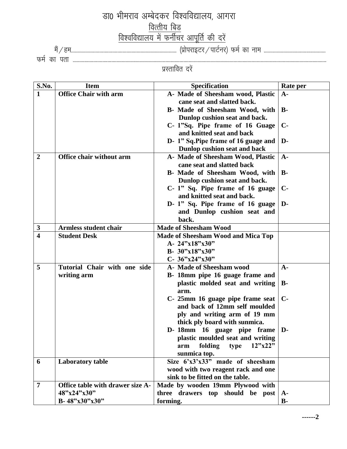### ज्ञा0 भीमराव अम्बेदकर विश्वविद्यालय, आगरा <u>वित्तीय बिड</u> <u>विश्वविद्यालय में फर्नीचर आपूर्ति की दरें</u> eSa@ge---------------------------------------------------------------------------------- ¼izksijkbVj@ikVZuj½ QeZ dk uke ------------------------------------------------

**48"x24"x30" B- 48"x30"x30"**

**three drawers top should be post A-**

QeZ dk irk ----------------------------------------------------------------------------------------------------------------------------------------------------------------------------------------------------- प्रस्तावित दर<mark>े</mark>ं

| S.No.          | <b>Item</b>                      | <b>Specification</b>                      | <b>Rate per</b> |
|----------------|----------------------------------|-------------------------------------------|-----------------|
| $\mathbf{1}$   | <b>Office Chair with arm</b>     | A- Made of Sheesham wood, Plastic         | $A-$            |
|                |                                  | cane seat and slatted back.               |                 |
|                |                                  | B- Made of Sheesham Wood, with            | <b>B-</b>       |
|                |                                  | Dunlop cushion seat and back.             |                 |
|                |                                  | C- 1"Sq. Pipe frame of 16 Guage           | $\mathbf{C}$    |
|                |                                  | and knitted seat and back                 |                 |
|                |                                  | D-1" Sq. Pipe frame of 16 guage and       | D-              |
|                |                                  | Dunlop cushion seat and back              |                 |
| $\overline{2}$ | <b>Office chair without arm</b>  | A- Made of Sheesham Wood, Plastic         | $A-$            |
|                |                                  | cane seat and slatted back                |                 |
|                |                                  | B- Made of Sheesham Wood, with            | <b>B-</b>       |
|                |                                  | Dunlop cushion seat and back.             |                 |
|                |                                  | C- 1" Sq. Pipe frame of 16 guage          | $\mathbf{C}$    |
|                |                                  | and knitted seat and back.                |                 |
|                |                                  | D- 1" Sq. Pipe frame of 16 guage          | $\mathbf{D}$    |
|                |                                  | and Dunlop cushion seat and               |                 |
|                |                                  | back.                                     |                 |
| $\mathbf{3}$   | <b>Armless student chair</b>     | <b>Made of Sheesham Wood</b>              |                 |
| $\overline{4}$ | <b>Student Desk</b>              | <b>Made of Sheesham Wood and Mica Top</b> |                 |
|                |                                  | A- 24"x18"x30"                            |                 |
|                |                                  | B- 30"x18"x30"                            |                 |
|                |                                  | C- 36"x24"x30"                            |                 |
| 5              | Tutorial Chair with one side     | A- Made of Sheesham wood                  | $A-$            |
|                | writing arm                      | B- 18mm pipe 16 guage frame and           |                 |
|                |                                  | plastic molded seat and writing           | <b>B-</b>       |
|                |                                  | arm.                                      |                 |
|                |                                  | C- 25mm 16 guage pipe frame seat          | $\mathbf{C}$    |
|                |                                  | and back of 12mm self moulded             |                 |
|                |                                  | ply and writing arm of 19 mm              |                 |
|                |                                  | thick ply board with sunmica.             |                 |
|                |                                  | D- 18mm 16 guage pipe frame               | D-              |
|                |                                  | plastic moulded seat and writing          |                 |
|                |                                  | folding<br>12"x22"<br>type<br>arm         |                 |
|                |                                  | sunmica top.                              |                 |
| 6              | Laboratory table                 | Size $6'x3'x33''$ made of sheesham        |                 |
|                |                                  | wood with two reagent rack and one        |                 |
|                |                                  | sink to be fitted on the table.           |                 |
| $\overline{7}$ | Office table with drawer size A- | Made by wooden 19mm Plywood with          |                 |

**forming.**

**B-**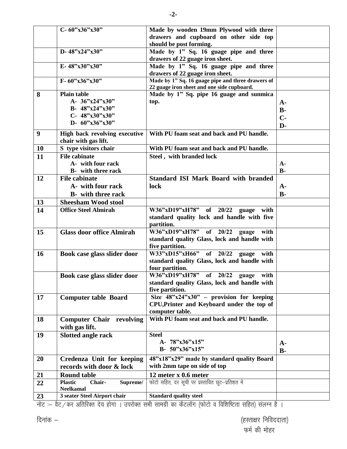|           | C-60"x36"x30"                        | Made by wooden 19mm Plywood with three                                                          |                |
|-----------|--------------------------------------|-------------------------------------------------------------------------------------------------|----------------|
|           |                                      | drawers and cupboard on other side top                                                          |                |
|           |                                      | should be post forming.                                                                         |                |
|           | D-48"x24"x30"                        | Made by 1" Sq. 16 guage pipe and three                                                          |                |
|           |                                      | drawers of 22 guage iron sheet.                                                                 |                |
|           | E-48"x30"x30"                        | Made by 1" Sq. 16 guage pipe and three                                                          |                |
|           |                                      | drawers of 22 guage iron sheet.                                                                 |                |
|           | $F - 60"x36"x30"$                    | Made by 1" Sq. 16 guage pipe and three drawers of<br>22 guage iron sheet and one side cupboard. |                |
| 8         | <b>Plain table</b>                   | Made by 1" Sq. pipe 16 guage and sunmica                                                        |                |
|           | A- $36"x24"x30"$                     | top.                                                                                            | $A-$           |
|           | B- 48"x24"x30"                       |                                                                                                 | $\mathbf{B}$ - |
|           | C- $48"x30"x30"$                     |                                                                                                 | $C-$           |
|           | D- 60"x36"x30"                       |                                                                                                 | $D-$           |
| 9         | High back revolving executive        | With PU foam seat and back and PU handle.                                                       |                |
|           | chair with gas lift.                 |                                                                                                 |                |
| <b>10</b> | S type visitors chair                | With PU foam seat and back and PU handle.                                                       |                |
| 11        | <b>File cabinate</b>                 | Steel, with branded lock                                                                        |                |
|           | A- with four rack                    |                                                                                                 | $A -$          |
|           | <b>B</b> - with three rack           |                                                                                                 | <b>B</b> -     |
| 12        | <b>File cabinate</b>                 | <b>Standard ISI Mark Board with branded</b>                                                     |                |
|           | A- with four rack                    | lock                                                                                            |                |
|           |                                      |                                                                                                 | $A -$<br>$B -$ |
|           | <b>B</b> - with three rack           |                                                                                                 |                |
| 13        | <b>Sheesham Wood stool</b>           |                                                                                                 |                |
| 14        | <b>Office Steel Almirah</b>          | W36"xD19"xH78" of 20/22 guage with                                                              |                |
|           |                                      | standard quality lock and handle with five                                                      |                |
|           |                                      | partition.<br>W36"xD19"xH78" of 20/22 guage                                                     |                |
| 15        | <b>Glass door office Almirah</b>     | with                                                                                            |                |
|           |                                      | standard quality Glass, lock and handle with<br>five partition.                                 |                |
| <b>16</b> | Book case glass slider door          | W33"xD15"xH66"<br>of $20/22$<br>with<br>guage                                                   |                |
|           |                                      | standard quality Glass, lock and handle with                                                    |                |
|           |                                      | four partition.                                                                                 |                |
|           | Book case glass slider door          | W36"xD19"xH78"<br>of $20/22$<br>guage with                                                      |                |
|           |                                      | standard quality Glass, lock and handle with                                                    |                |
|           |                                      | five partition.                                                                                 |                |
| 17        | <b>Computer table Board</b>          | Size $48^{\circ}x24^{\circ}x30^{\circ}$ – provision for keeping                                 |                |
|           |                                      | CPU, Printer and Keyboard under the top of                                                      |                |
|           |                                      | computer table.                                                                                 |                |
| 18        | <b>Computer Chair revolving</b>      | With PU foam seat and back and PU handle.                                                       |                |
|           | with gas lift.                       |                                                                                                 |                |
| 19        | <b>Slotted angle rack</b>            | <b>Steel</b>                                                                                    |                |
|           |                                      | A- 78"x36"x15"                                                                                  | $A-$           |
|           |                                      | B- $50"x36"x15"$                                                                                | $B -$          |
| 20        | Credenza Unit for keeping            | 48"x18"x29" made by standard quality Board                                                      |                |
|           | records with door & lock             | with 2mm tape on side of top                                                                    |                |
| 21        | <b>Round table</b>                   | 12 meter x 0.6 meter                                                                            |                |
|           | <b>Plastic</b><br>Chair-<br>Supreme/ | फोटो सहित, दर सूची पर प्रस्तावित छूट-प्रतिशत में                                                |                |
| 22        | <b>Neelkamal</b>                     |                                                                                                 |                |
| 23        | 3 seater Steel Airport chair         | <b>Standard quality steel</b>                                                                   |                |

नोट :— वैट / कर अतिरिक्त देय होगा । उपरोक्त सभी सामग्री का कैटलॉग (फोटो व विशिष्टिता सहित) संलग्न है ।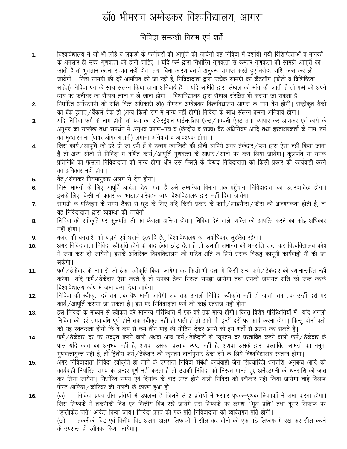# डॉ0 भीमराव अम्बेडकर विश्वविद्यालय, आगरा

#### निविदा सम्बन्धी नियम एवं शर्ते

- विश्वविद्यालय में जो भी लोहे व लकड़ी के फर्नीचरों की आपूर्ति की जायेगी वह निविदा में दर्शायी गयी विशिष्टिताओं व मानकों  $1.$ के अनुसार ही उच्च गुणवत्ता की होनी चाहिए । यदि फर्म द्वारा निर्धारित गुणवत्ता से कमतर गुणवत्ता की सामग्री आपूर्ति की जाती है तो भुगतान करना सम्भव नहीं होगा तथा बिना कारण बताये अनुबन्ध समाप्त करते हुए धरोहर राशि जब्त कर ली जायेगी । जिस सामग्री की दरें आमंत्रित की जा रही हैं, निविदादाता द्वारा प्रत्येक सामग्री का कैटलॉग (फोटो व विशिष्टिता सहित) निविदा पत्र के साथ संलग्न किया जाना अनिवार्य है । यदि समिति द्वारा सैम्पल की मांग की जाती है तो फर्म को अपने व्यय पर फर्नीचर का सैम्पल लाना व ले जाना होगा । विश्वविद्यालय द्वारा सैम्पल संरक्षित भी कराया जा सकता है ।
- निर्धारित अर्नेस्टमनी की राशि वित्त अधिकारी डॉ0 भीमराव अम्बेडकर विश्वविद्यालय आगरा के नाम देय होगी। राष्ट्रीकृत बैंकों  $2.$ का बैंक ड्राफ्ट / बैंकर्स चेक ही (अन्य किसी रूप में मान्य नहीं होगी) निविदा के साथ संलग्न करना अनिवार्य होगा।
- यदि निविदा फर्म के नाम होगी तो फर्म का रजिस्ट्रेशन पार्टनरशिप ऐक्ट / कम्पनी ऐक्ट तथा व्यापार कर आयकर एवं कार्य के 3. अनुभव का उल्लेख तथा समर्थन में अनुभव प्रमाण—पत्र व (केन्द्रीय व राज्य) वैट अधिनियम आदि तथा हस्ताक्षरकर्ता के नाम फर्म का मुख्तारनामा (पावर ऑफ अटार्नी) लगाना अनिवार्य व आवश्यक होगा ।
- जिस कार्य/आपूर्ति की दरें दी जा रही हैं वे उत्तम क्वालिटी की होनी चाहिये अगर ठेकेदार/फर्म द्वारा ऐसा नहीं किया जाता 4. है तो अन्य श्रोतों से निविदा में वर्णित कार्य/आपूर्ति गुणवत्ता के आधार/स्रोतों पर करा लिया जायेगा। कुलपति या उनके प्रतिनिधि का फैसला निविदादाता को मान्य होगा और उस फैसले के विरुद्ध निविदादाता को किसी प्रकार की कार्यवाही करने का अधिकार नहीं होगा।
- वैट / सेवाकर नियमानुसार अलग से देय होगा। 5.
- जिस सामग्री के लिए आपूर्ति आदेश दिया गया है उसे सम्बन्धित विभाग तक पहुँचाना निविदादाता का उत्तरदायित्व होगा। 6. इसके लिए किसी भी प्रकार का भाडा / परिवहन व्यय विश्वविद्यालय द्वारा नहीं दिया जायेगा।
- सामग्री के परिवहन के समय टैक्स से छूट के लिए यदि किसी प्रकार के फार्म/लाइसैन्स/फीस की आवश्यकता होती है, तो 7. वह निविदादाता द्वारा व्यवस्था की जायेगी।
- निविदा की स्वीकृति पर कूलपति जी का फैसला अन्तिम होगा। निविदा देने वाले व्यक्ति को आपत्ति करने का कोई अधिकार 8. नहीं होगा।
- बजट की धनराशि को बढाने एवं घटाने इत्यादि हेतु विश्वविद्यालय का सर्वाधिकार सुरक्षित रहेगा। 9.
- अगर निविदादाता निविदा स्वीकृति होने के बाद ठेका छोड़ देता है तो उसकी जमानत की धनराशि जब्त कर विश्वविद्यालय कोष 10. में जमा करा दी जायेगी। इसकें अतिरिक्त विश्वविद्यालय को घटित क्षति के लिये उसके विरुद्ध कानूनी कार्यवाही भी की जा सकेगी।
- फर्म/ठेकेदार के नाम से जो ठेका स्वीकृति किया जायेगा वह किसी भी दशा में किसी अन्य फर्म/ठेकेदार को स्थानान्तरित नहीं  $11.$ करेगा। यदि फर्म/ठेकेदार ऐसा करते है तो उनका ठेका निरस्त समझा जायेगा तथा उनकी जमानत राशि को जब्त करके विश्वविद्यालय कोष में जमा करा दिया जायेगा।
- निविदा की स्वीकृत दरें तब तक वैध मानी जायेगी जब तक अगली निविदा स्वीकृति नहीं हो जाती, तब तक उन्हीं दरों पर  $12.$ कार्य / आपूर्ति कराया जा सकता है। इस पर निविदादाता फर्म को कोई एतराज नहीं होगा।
- इस निविदा के माध्यम से स्वीकृत दरें सामान्य परिस्थिति में एक वर्ष तक मान्य होंगी। किन्तु विशेष परिस्थितियों में यदि अगली  $13.$ निविदा की दरें समयावधि पूर्ण होने तक स्वीकृत नहीं हो पाती हैं तो आगे भी इन्हीं दरों पर कार्य करना होगा। किन्तु दोनों पक्षों को यह स्वतन्त्रता होगी कि वे कम से कम तीन माह की नोटिस देकर अपने को इन शर्तों से अलग कर सकते हैं।
- फर्म/ठेकेदार दर पर उदधृत करने वाली अथवा अन्य फर्म/ठेकेदारों से न्यूनतम दर प्रस्तावित करने वाली फर्म/ठेकेदार के 14. पास यदि कार्य का अनुभव नहीं है, अथवा उसका प्रस्ताव स्पष्ट नहीं है, अथवा उसके द्वारा प्रस्तावित सामग्री का नमूना गुणवत्तायुक्त नहीं है, तो द्वितीय फर्म/ठेकेदार को न्यूनतम वार्तानुसार ठेका देने के लिये विश्वविद्यालय स्वतन्त्र होगा।
- अगर निविदादाता निविदा स्वीकृति हो जाने के उपरान्त निविदा संबंधी कार्यवाही जैसे सिक्योरिटी धनराशि, अनुबन्ध आदि की 15. कार्यबाही निर्धारित समय के अन्दर पूर्ण नहीं करता है तो उसकी निविदा को निरस्त मानते हुए अर्नेस्टमनी की धनराशि को जब्त कर लिया जायेगा। निर्धारित समय एवं दिनांक के बाद प्राप्त होने वाली निविदा को स्वीकार नहीं किया जायेगा चाहे विलम्ब पोस्ट आफिस / कोरियर की गलती के कारण हुआ हो।
- निविदा प्रपत्र तीन प्रतियों में उपलब्ध है जिसमें से 2 प्रतियों में भरकर पथक–पृथक लिफाफों में जमा करना होगा। 16. (क) जिस लिफाफे में तकनीकी विड एवं वित्तीय विड रखे जायेंगे उस लिफाफे पर क्रमशः ''मूल प्रति'' तथा दूसरे लिफाफे पर ''डुप्लीकेट प्रति'' अंकित किया जाय। निविदा प्रपत्र की एक प्रति निविदादाता की व्यक्तिगत प्रति होगी। तकनीकी विड एवं वित्तीय विड अलग–अलग लिफाफों में सील कर दोनो को एक बड़े लिफाफे में रख कर सील करने (ख)

के उपरान्त ही स्वीकार किया जायेगा।